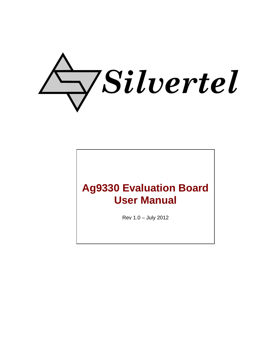

# **Ag9330 Evaluation Board User Manual**

Rev 1.0 – July 2012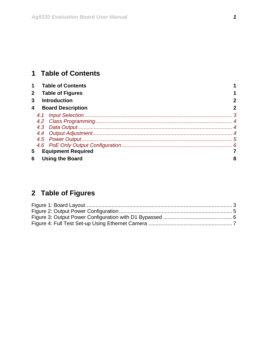# <span id="page-1-0"></span>**1 Table of Contents**

| $\mathbf 1$  |                         | <b>Table of Contents</b>  |   |
|--------------|-------------------------|---------------------------|---|
| $\mathbf{2}$ | <b>Table of Figures</b> |                           |   |
| 3            |                         | <b>Introduction</b>       | 2 |
| 4            |                         | <b>Board Description</b>  | 2 |
|              |                         |                           |   |
|              |                         |                           |   |
|              |                         |                           |   |
|              |                         |                           |   |
|              |                         |                           |   |
|              |                         |                           |   |
| 5            |                         | <b>Equipment Required</b> |   |
| 6            |                         | <b>Using the Board</b>    | 8 |

# **2 Table of Figures**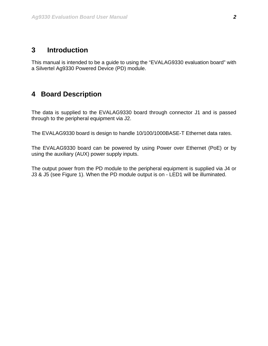### <span id="page-2-0"></span>**3 Introduction**

This manual is intended to be a guide to using the "EVALAG9330 evaluation board" with a Silvertel Ag9330 Powered Device (PD) module.

### **4 Board Description**

The data is supplied to the EVALAG9330 board through connector J1 and is passed through to the peripheral equipment via J2.

The EVALAG9330 board is design to handle 10/100/1000BASE-T Ethernet data rates.

The EVALAG9330 board can be powered by using Power over Ethernet (PoE) or by using the auxiliary (AUX) power supply inputs.

The output power from the PD module to the peripheral equipment is supplied via J4 or J3 & J5 (see [Figure 1\)](#page-3-1). When the PD module output is on - LED1 will be illuminated.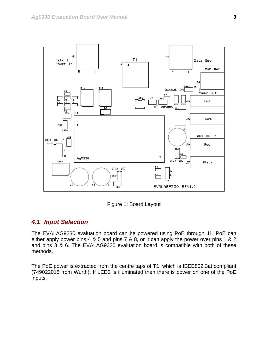<span id="page-3-0"></span>

Figure 1: Board Layout

#### <span id="page-3-1"></span>*4.1 Input Selection*

The EVALAG9330 evaluation board can be powered using PoE through J1. PoE can either apply power pins 4 & 5 and pins 7 & 8, or it can apply the power over pins 1 & 2 and pins 3 & 6. The EVALAG9330 evaluation board is compatible with both of these methods.

The PoE power is extracted from the centre taps of T1, which is IEEE802.3at compliant (749022015 from Wurth). If LED2 is illuminated then there is power on one of the PoE inputs.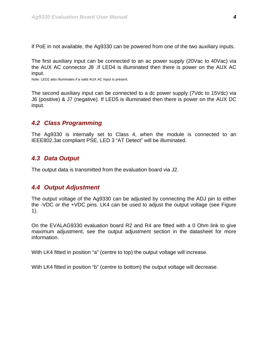<span id="page-4-0"></span>If PoE in not available, the Ag9330 can be powered from one of the two auxiliary inputs.

The first auxiliary input can be connected to an ac power supply (20Vac to 40Vac) via the AUX AC connector J8 .If LED4 is illuminated then there is power on the AUX AC input.

Note: LED2 also illuminates if a valid AUX AC Input is present.

The second auxiliary input can be connected to a dc power supply (7Vdc to 15Vdc) via J6 (positive) & J7 (negative). If LED5 is illuminated then there is power on the AUX DC input.

#### *4.2 Class Programming*

The Ag9330 is internally set to Class 4, when the module is connected to an IEEE802.3at compliant PSE, LED 3 "AT Detect" will be illuminated.

#### *4.3 Data Output*

The output data is transmitted from the evaluation board via J2.

#### *4.4 Output Adjustment*

The output voltage of the Ag9330 can be adjusted by connecting the ADJ pin to either the -VDC or the +VDC pins. LK4 can be used to adjust the output voltage (see [Figure](#page-3-1)  [1\)](#page-3-1).

On the EVALAG9330 evaluation board R2 and R4 are fitted with a 0 Ohm link to give maximum adjustment, see the output adjustment section in the datasheet for more information.

With LK4 fitted in position "a" (centre to top) the output voltage will increase.

With LK4 fitted in position "b" (centre to bottom) the output voltage will decrease.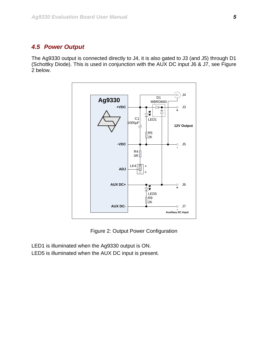#### <span id="page-5-0"></span>*4.5 Power Output*

The Ag9330 output is connected directly to J4, it is also gated to J3 (and J5) through D1 (Schottky Diode). This is used in conjunction with the AUX DC input J6 & J7, see Figure 2 below.



Figure 2: Output Power Configuration

LED1 is illuminated when the Ag9330 output is ON. LED5 is illuminated when the AUX DC input is present.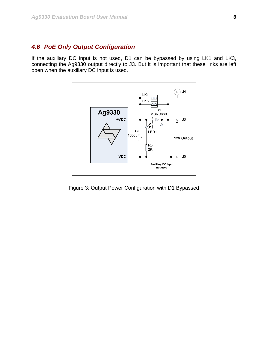### <span id="page-6-0"></span>*4.6 PoE Only Output Configuration*

If the auxiliary DC input is not used, D1 can be bypassed by using LK1 and LK3, connecting the Ag9330 output directly to J3. But it is important that these links are left open when the auxiliary DC input is used.



Figure 3: Output Power Configuration with D1 Bypassed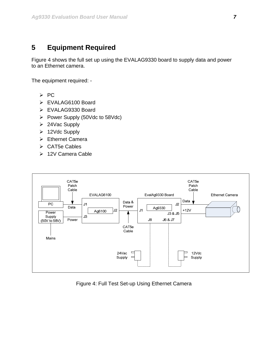## <span id="page-7-0"></span>**5 Equipment Required**

[Figure 4](#page-7-1) shows the full set up using the EVALAG9330 board to supply data and power to an Ethernet camera.

The equipment required: -

- ¾ PC
- ¾ EVALAG6100 Board
- ¾ EVALAG9330 Board
- ¾ Power Supply (50Vdc to 58Vdc)
- $\geq 24$ Vac Supply
- $\geq 12$ Vdc Supply
- ¾ Ethernet Camera
- ¾ CAT5e Cables
- ¾ 12V Camera Cable



<span id="page-7-1"></span>Figure 4: Full Test Set-up Using Ethernet Camera